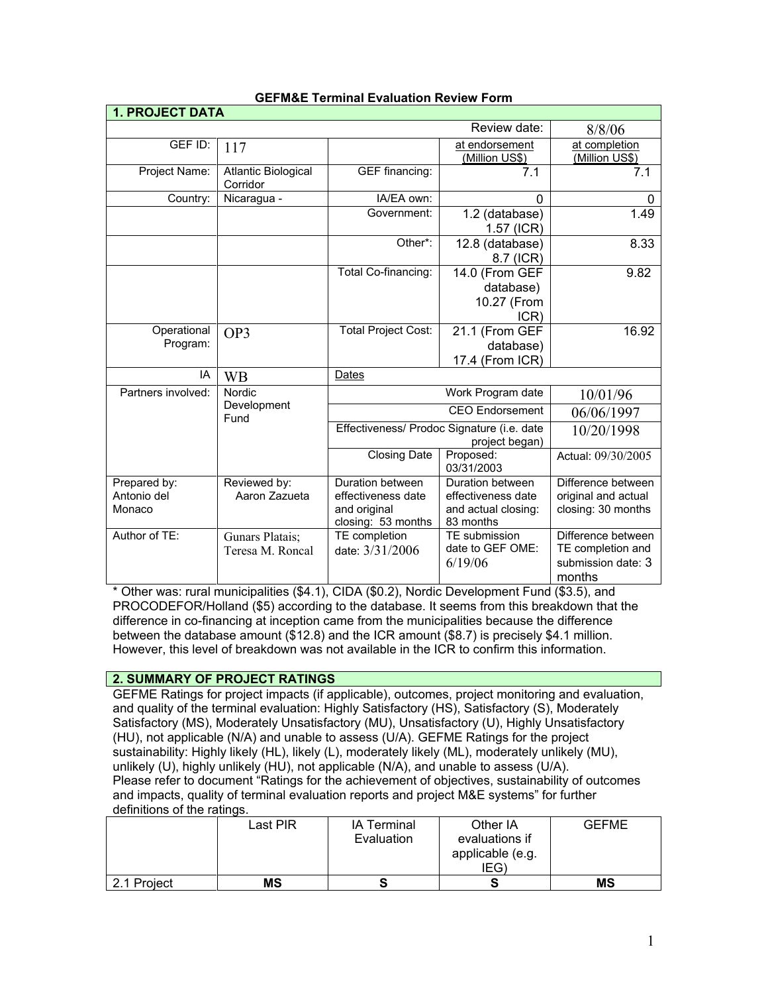| <b>1. PROJECT DATA</b>                |                                     |                                                                              |                                                                            |                                                                         |
|---------------------------------------|-------------------------------------|------------------------------------------------------------------------------|----------------------------------------------------------------------------|-------------------------------------------------------------------------|
|                                       |                                     |                                                                              | Review date:                                                               | 8/8/06                                                                  |
| GEF ID:                               | 117                                 |                                                                              | at endorsement<br>(Million US\$)                                           | at completion<br>(Million US\$)                                         |
| Project Name:                         | Atlantic Biological<br>Corridor     | GEF financing:                                                               | 7.1                                                                        | 7.1                                                                     |
| Country:                              | Nicaragua -                         | IA/EA own:                                                                   | $\Omega$                                                                   | $\Omega$                                                                |
|                                       |                                     | Government:                                                                  | 1.2 (database)<br>1.57 (ICR)                                               | 1.49                                                                    |
|                                       |                                     | Other*:                                                                      | 12.8 (database)<br>8.7 (ICR)                                               | 8.33                                                                    |
|                                       |                                     | Total Co-financing:                                                          | 14.0 (From GEF<br>database)<br>10.27 (From<br>ICR)                         | 9.82                                                                    |
| Operational<br>Program:               | OP3                                 | <b>Total Project Cost:</b>                                                   | 21.1 (From GEF<br>database)<br>17.4 (From ICR)                             | 16.92                                                                   |
| IA                                    | <b>WB</b>                           | Dates                                                                        |                                                                            |                                                                         |
| Partners involved:                    | Nordic                              | Work Program date                                                            |                                                                            | 10/01/96                                                                |
|                                       | Development<br>Fund                 | <b>CEO</b> Endorsement                                                       |                                                                            | 06/06/1997                                                              |
|                                       |                                     | Effectiveness/ Prodoc Signature (i.e. date<br>project began)                 |                                                                            | 10/20/1998                                                              |
|                                       |                                     | <b>Closing Date</b>                                                          | Proposed:<br>03/31/2003                                                    | Actual: 09/30/2005                                                      |
| Prepared by:<br>Antonio del<br>Monaco | Reviewed by:<br>Aaron Zazueta       | Duration between<br>effectiveness date<br>and original<br>closing: 53 months | Duration between<br>effectiveness date<br>and actual closing:<br>83 months | Difference between<br>original and actual<br>closing: 30 months         |
| Author of TE:                         | Gunars Platais;<br>Teresa M. Roncal | TE completion<br>date: 3/31/2006                                             | TE submission<br>date to GEF OME:<br>6/19/06                               | Difference between<br>TE completion and<br>submission date: 3<br>months |

# **GEFM&E Terminal Evaluation Review Form**

Other was: rural municipalities (\$4.1), CIDA (\$0.2), Nordic Development Fund (\$3.5), and PROCODEFOR/Holland (\$5) according to the database. It seems from this breakdown that the difference in co-financing at inception came from the municipalities because the difference between the database amount (\$12.8) and the ICR amount (\$8.7) is precisely \$4.1 million. However, this level of breakdown was not available in the ICR to confirm this information.

# **2. SUMMARY OF PROJECT RATINGS**

GEFME Ratings for project impacts (if applicable), outcomes, project monitoring and evaluation, and quality of the terminal evaluation: Highly Satisfactory (HS), Satisfactory (S), Moderately Satisfactory (MS), Moderately Unsatisfactory (MU), Unsatisfactory (U), Highly Unsatisfactory (HU), not applicable (N/A) and unable to assess (U/A). GEFME Ratings for the project sustainability: Highly likely (HL), likely (L), moderately likely (ML), moderately unlikely (MU), unlikely (U), highly unlikely (HU), not applicable (N/A), and unable to assess (U/A). Please refer to document "Ratings for the achievement of objectives, sustainability of outcomes and impacts, quality of terminal evaluation reports and project M&E systems" for further definitions of the ratings.

|             | Last PIR  | <b>IA Terminal</b><br>Evaluation | Other IA<br>evaluations if<br>applicable (e.g.<br>IEG) | <b>GEFME</b> |
|-------------|-----------|----------------------------------|--------------------------------------------------------|--------------|
| 2.1 Project | <b>MS</b> |                                  |                                                        | <b>MS</b>    |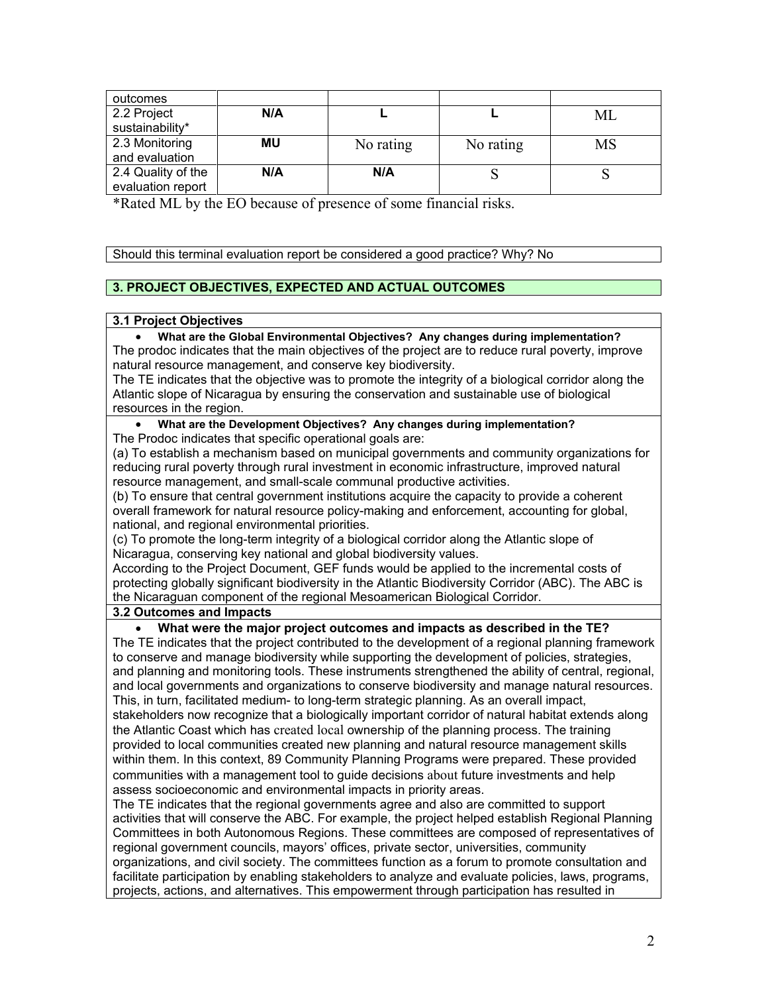| outcomes           |           |           |           |    |
|--------------------|-----------|-----------|-----------|----|
| 2.2 Project        | N/A       |           |           | МL |
| sustainability*    |           |           |           |    |
| 2.3 Monitoring     | <b>MU</b> | No rating | No rating | MS |
| and evaluation     |           |           |           |    |
| 2.4 Quality of the | N/A       | N/A       | N         |    |
| evaluation report  |           |           |           |    |

\*Rated ML by the EO because of presence of some financial risks.

Should this terminal evaluation report be considered a good practice? Why? No

# **3. PROJECT OBJECTIVES, EXPECTED AND ACTUAL OUTCOMES**

## **3.1 Project Objectives**

• **What are the Global Environmental Objectives? Any changes during implementation?** The prodoc indicates that the main objectives of the project are to reduce rural poverty, improve natural resource management, and conserve key biodiversity.

The TE indicates that the objective was to promote the integrity of a biological corridor along the Atlantic slope of Nicaragua by ensuring the conservation and sustainable use of biological resources in the region.

## • **What are the Development Objectives? Any changes during implementation?** The Prodoc indicates that specific operational goals are:

(a) To establish a mechanism based on municipal governments and community organizations for reducing rural poverty through rural investment in economic infrastructure, improved natural resource management, and small-scale communal productive activities.

(b) To ensure that central government institutions acquire the capacity to provide a coherent overall framework for natural resource policy-making and enforcement, accounting for global, national, and regional environmental priorities.

(c) To promote the long-term integrity of a biological corridor along the Atlantic slope of Nicaragua, conserving key national and global biodiversity values.

According to the Project Document, GEF funds would be applied to the incremental costs of protecting globally significant biodiversity in the Atlantic Biodiversity Corridor (ABC). The ABC is the Nicaraguan component of the regional Mesoamerican Biological Corridor.

# **3.2 Outcomes and Impacts**

## • **What were the major project outcomes and impacts as described in the TE?** The TE indicates that the project contributed to the development of a regional planning framework

to conserve and manage biodiversity while supporting the development of policies, strategies, and planning and monitoring tools. These instruments strengthened the ability of central, regional, and local governments and organizations to conserve biodiversity and manage natural resources. This, in turn, facilitated medium- to long-term strategic planning. As an overall impact, stakeholders now recognize that a biologically important corridor of natural habitat extends along the Atlantic Coast which has created local ownership of the planning process. The training provided to local communities created new planning and natural resource management skills within them. In this context, 89 Community Planning Programs were prepared. These provided communities with a management tool to guide decisions about future investments and help assess socioeconomic and environmental impacts in priority areas.

The TE indicates that the regional governments agree and also are committed to support activities that will conserve the ABC. For example, the project helped establish Regional Planning Committees in both Autonomous Regions. These committees are composed of representatives of regional government councils, mayors' offices, private sector, universities, community organizations, and civil society. The committees function as a forum to promote consultation and facilitate participation by enabling stakeholders to analyze and evaluate policies, laws, programs, projects, actions, and alternatives. This empowerment through participation has resulted in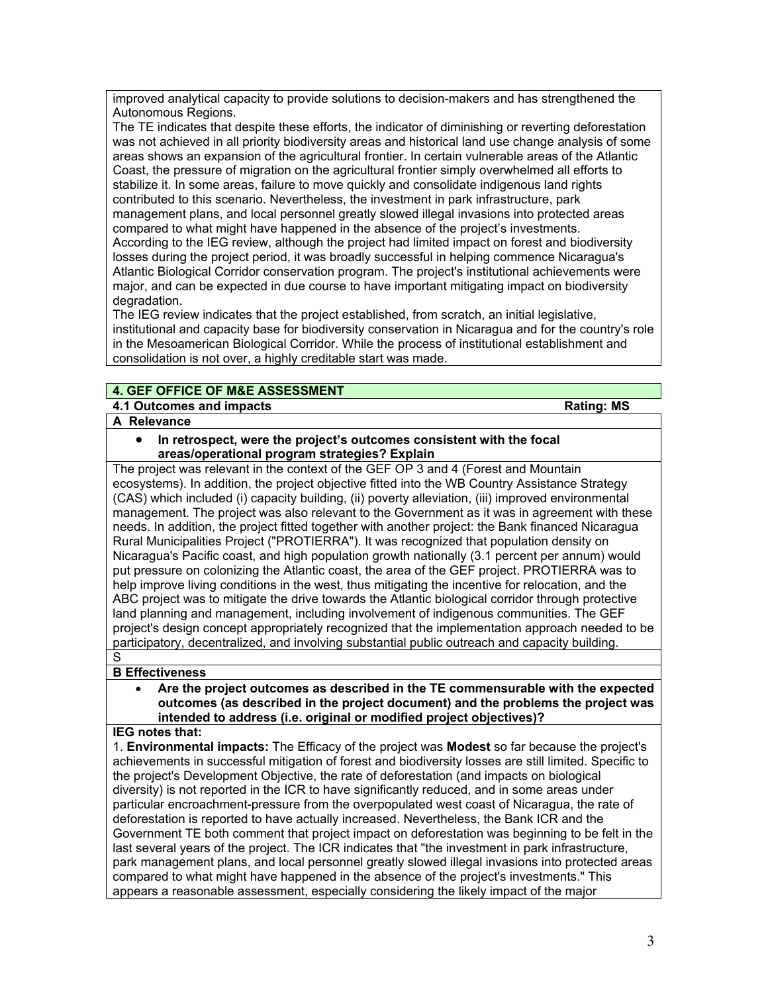improved analytical capacity to provide solutions to decision-makers and has strengthened the Autonomous Regions.

The TE indicates that despite these efforts, the indicator of diminishing or reverting deforestation was not achieved in all priority biodiversity areas and historical land use change analysis of some areas shows an expansion of the agricultural frontier. In certain vulnerable areas of the Atlantic Coast, the pressure of migration on the agricultural frontier simply overwhelmed all efforts to stabilize it. In some areas, failure to move quickly and consolidate indigenous land rights contributed to this scenario. Nevertheless, the investment in park infrastructure, park management plans, and local personnel greatly slowed illegal invasions into protected areas compared to what might have happened in the absence of the project's investments. According to the IEG review, although the project had limited impact on forest and biodiversity losses during the project period, it was broadly successful in helping commence Nicaragua's Atlantic Biological Corridor conservation program. The project's institutional achievements were major, and can be expected in due course to have important mitigating impact on biodiversity degradation.

The IEG review indicates that the project established, from scratch, an initial legislative, institutional and capacity base for biodiversity conservation in Nicaragua and for the country's role in the Mesoamerican Biological Corridor. While the process of institutional establishment and consolidation is not over, a highly creditable start was made.

# **4. GEF OFFICE OF M&E ASSESSMENT**

# **4.1 Outcomes and impacts All and impacts Rating:** MS

# **A Relevance**

• **In retrospect, were the project's outcomes consistent with the focal areas/operational program strategies? Explain**

The project was relevant in the context of the GEF OP 3 and 4 (Forest and Mountain ecosystems). In addition, the project objective fitted into the WB Country Assistance Strategy (CAS) which included (i) capacity building, (ii) poverty alleviation, (iii) improved environmental management. The project was also relevant to the Government as it was in agreement with these needs. In addition, the project fitted together with another project: the Bank financed Nicaragua Rural Municipalities Project ("PROTIERRA"). It was recognized that population density on Nicaragua's Pacific coast, and high population growth nationally (3.1 percent per annum) would put pressure on colonizing the Atlantic coast, the area of the GEF project. PROTIERRA was to help improve living conditions in the west, thus mitigating the incentive for relocation, and the ABC project was to mitigate the drive towards the Atlantic biological corridor through protective land planning and management, including involvement of indigenous communities. The GEF project's design concept appropriately recognized that the implementation approach needed to be participatory, decentralized, and involving substantial public outreach and capacity building.

### S **B Effectiveness**

• **Are the project outcomes as described in the TE commensurable with the expected outcomes (as described in the project document) and the problems the project was intended to address (i.e. original or modified project objectives)?** 

# **IEG notes that:**

1. **Environmental impacts:** The Efficacy of the project was **Modest** so far because the project's achievements in successful mitigation of forest and biodiversity losses are still limited. Specific to the project's Development Objective, the rate of deforestation (and impacts on biological diversity) is not reported in the ICR to have significantly reduced, and in some areas under particular encroachment-pressure from the overpopulated west coast of Nicaragua, the rate of deforestation is reported to have actually increased. Nevertheless, the Bank ICR and the Government TE both comment that project impact on deforestation was beginning to be felt in the last several years of the project. The ICR indicates that "the investment in park infrastructure, park management plans, and local personnel greatly slowed illegal invasions into protected areas compared to what might have happened in the absence of the project's investments." This appears a reasonable assessment, especially considering the likely impact of the major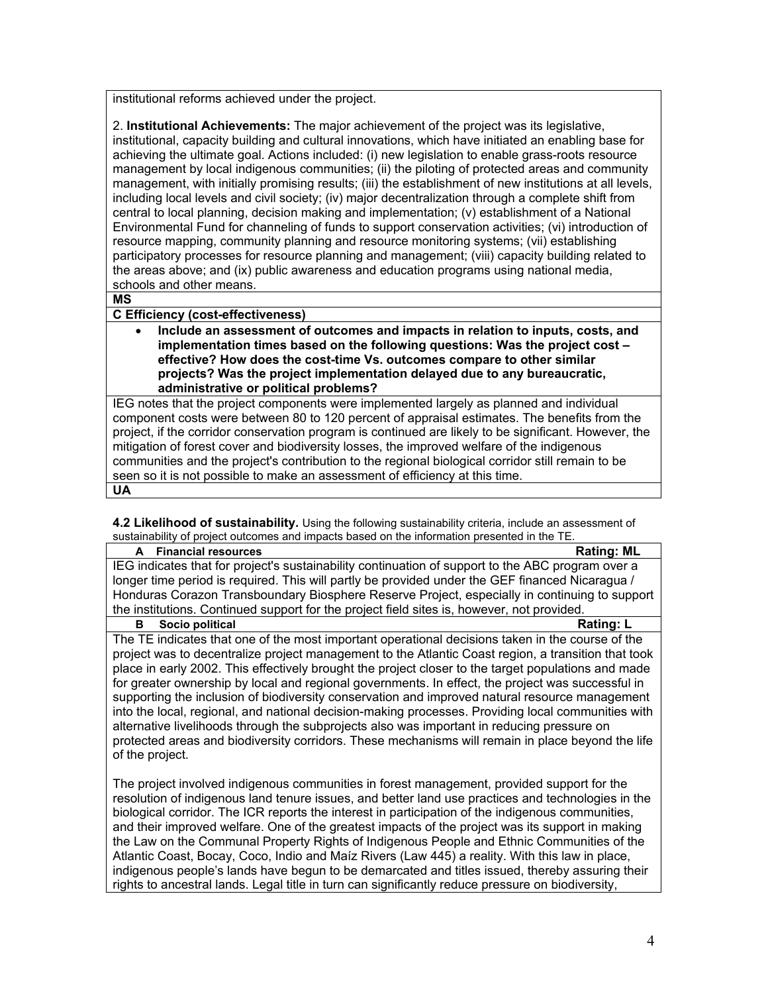institutional reforms achieved under the project.

2. **Institutional Achievements:** The major achievement of the project was its legislative, institutional, capacity building and cultural innovations, which have initiated an enabling base for achieving the ultimate goal. Actions included: (i) new legislation to enable grass-roots resource management by local indigenous communities; (ii) the piloting of protected areas and community management, with initially promising results; (iii) the establishment of new institutions at all levels, including local levels and civil society; (iv) major decentralization through a complete shift from central to local planning, decision making and implementation; (v) establishment of a National Environmental Fund for channeling of funds to support conservation activities; (vi) introduction of resource mapping, community planning and resource monitoring systems; (vii) establishing participatory processes for resource planning and management; (viii) capacity building related to the areas above; and (ix) public awareness and education programs using national media, schools and other means.

**MS**

## **C Efficiency (cost-effectiveness)**

• **Include an assessment of outcomes and impacts in relation to inputs, costs, and implementation times based on the following questions: Was the project cost – effective? How does the cost-time Vs. outcomes compare to other similar projects? Was the project implementation delayed due to any bureaucratic, administrative or political problems?**

IEG notes that the project components were implemented largely as planned and individual component costs were between 80 to 120 percent of appraisal estimates. The benefits from the project, if the corridor conservation program is continued are likely to be significant. However, the mitigation of forest cover and biodiversity losses, the improved welfare of the indigenous communities and the project's contribution to the regional biological corridor still remain to be seen so it is not possible to make an assessment of efficiency at this time. **UA**

**4.2 Likelihood of sustainability.** Using the following sustainability criteria, include an assessment of sustainability of project outcomes and impacts based on the information presented in the TF

| <b>Financial resources</b><br>A                                                                     | <b>Rating: ML</b> |
|-----------------------------------------------------------------------------------------------------|-------------------|
| IEG indicates that for project's sustainability continuation of support to the ABC program over a   |                   |
| longer time period is required. This will partly be provided under the GEF financed Nicaragua /     |                   |
| Honduras Corazon Transboundary Biosphere Reserve Project, especially in continuing to support       |                   |
| the institutions. Continued support for the project field sites is, however, not provided.          |                   |
| Socio political<br>в                                                                                | Rating: L         |
| The TE indicates that one of the most important operational decisions taken in the course of the    |                   |
| project was to decentralize project management to the Atlantic Coast region, a transition that took |                   |
| place in early 2002. This effectively brought the project closer to the target populations and made |                   |
| for greater ownership by local and regional governments. In effect, the project was successful in   |                   |
| supporting the inclusion of biodiversity conservation and improved natural resource management      |                   |
| into the local, regional, and national decision-making processes. Providing local communities with  |                   |
| alternative livelihoods through the subprojects also was important in reducing pressure on          |                   |
| protected areas and biodiversity corridors. These mechanisms will remain in place beyond the life   |                   |
| of the project.                                                                                     |                   |
|                                                                                                     |                   |
| The project involved indigenous communities in forest management, provided support for the          |                   |
| resolution of indigenous land tenure issues, and better land use practices and technologies in the  |                   |
| biological corridor. The ICR reports the interest in participation of the indigenous communities,   |                   |
| and their improved welfare. One of the greatest impacts of the project was its support in making    |                   |

the Law on the Communal Property Rights of Indigenous People and Ethnic Communities of the Atlantic Coast, Bocay, Coco, Indio and Maíz Rivers (Law 445) a reality. With this law in place, indigenous people's lands have begun to be demarcated and titles issued, thereby assuring their rights to ancestral lands. Legal title in turn can significantly reduce pressure on biodiversity,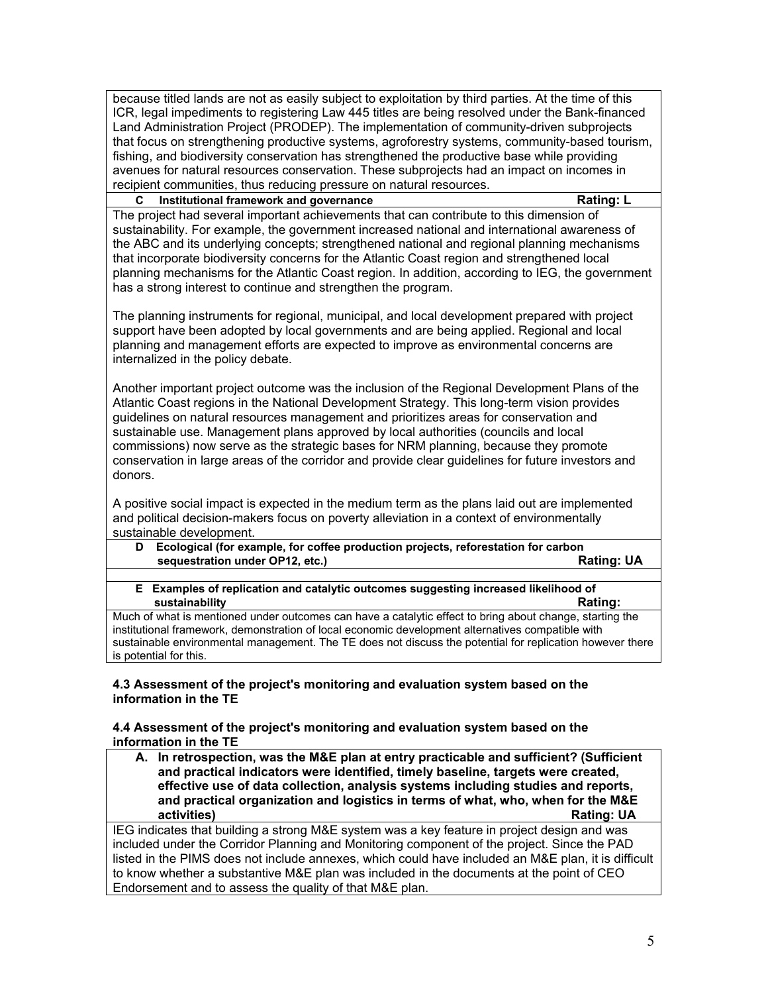because titled lands are not as easily subject to exploitation by third parties. At the time of this ICR, legal impediments to registering Law 445 titles are being resolved under the Bank-financed Land Administration Project (PRODEP). The implementation of community-driven subprojects that focus on strengthening productive systems, agroforestry systems, community-based tourism, fishing, and biodiversity conservation has strengthened the productive base while providing avenues for natural resources conservation. These subprojects had an impact on incomes in recipient communities, thus reducing pressure on natural resources.

## **C Institutional framework and governance Rating: L**

The project had several important achievements that can contribute to this dimension of sustainability. For example, the government increased national and international awareness of the ABC and its underlying concepts; strengthened national and regional planning mechanisms that incorporate biodiversity concerns for the Atlantic Coast region and strengthened local planning mechanisms for the Atlantic Coast region. In addition, according to IEG, the government has a strong interest to continue and strengthen the program.

The planning instruments for regional, municipal, and local development prepared with project support have been adopted by local governments and are being applied. Regional and local planning and management efforts are expected to improve as environmental concerns are internalized in the policy debate.

Another important project outcome was the inclusion of the Regional Development Plans of the Atlantic Coast regions in the National Development Strategy. This long-term vision provides guidelines on natural resources management and prioritizes areas for conservation and sustainable use. Management plans approved by local authorities (councils and local commissions) now serve as the strategic bases for NRM planning, because they promote conservation in large areas of the corridor and provide clear guidelines for future investors and donors.

A positive social impact is expected in the medium term as the plans laid out are implemented and political decision-makers focus on poverty alleviation in a context of environmentally sustainable development.

- **D Ecological (for example, for coffee production projects, reforestation for carbon**  sequestration under OP12, etc.)
- **E Examples of replication and catalytic outcomes suggesting increased likelihood of**  *<u> sustainability</u>* **Rating: Rating: Rating: Rating: Rating: Rating: Rating: Rating: Rating: Rating: Rating: Rating: Rating: Rating: Rating: Rating: Rating: Rating: Rating: Rating: Rating: Rating: Rating: Rating: Rating: R**

Much of what is mentioned under outcomes can have a catalytic effect to bring about change, starting the institutional framework, demonstration of local economic development alternatives compatible with sustainable environmental management. The TE does not discuss the potential for replication however there is potential for this.

## **4.3 Assessment of the project's monitoring and evaluation system based on the information in the TE**

## **4.4 Assessment of the project's monitoring and evaluation system based on the information in the TE**

**A. In retrospection, was the M&E plan at entry practicable and sufficient? (Sufficient and practical indicators were identified, timely baseline, targets were created, effective use of data collection, analysis systems including studies and reports, and practical organization and logistics in terms of what, who, when for the M&E Rating: UA** IEG indicates that building a strong M&E system was a key feature in project design and was

included under the Corridor Planning and Monitoring component of the project. Since the PAD listed in the PIMS does not include annexes, which could have included an M&E plan, it is difficult to know whether a substantive M&E plan was included in the documents at the point of CEO Endorsement and to assess the quality of that M&E plan.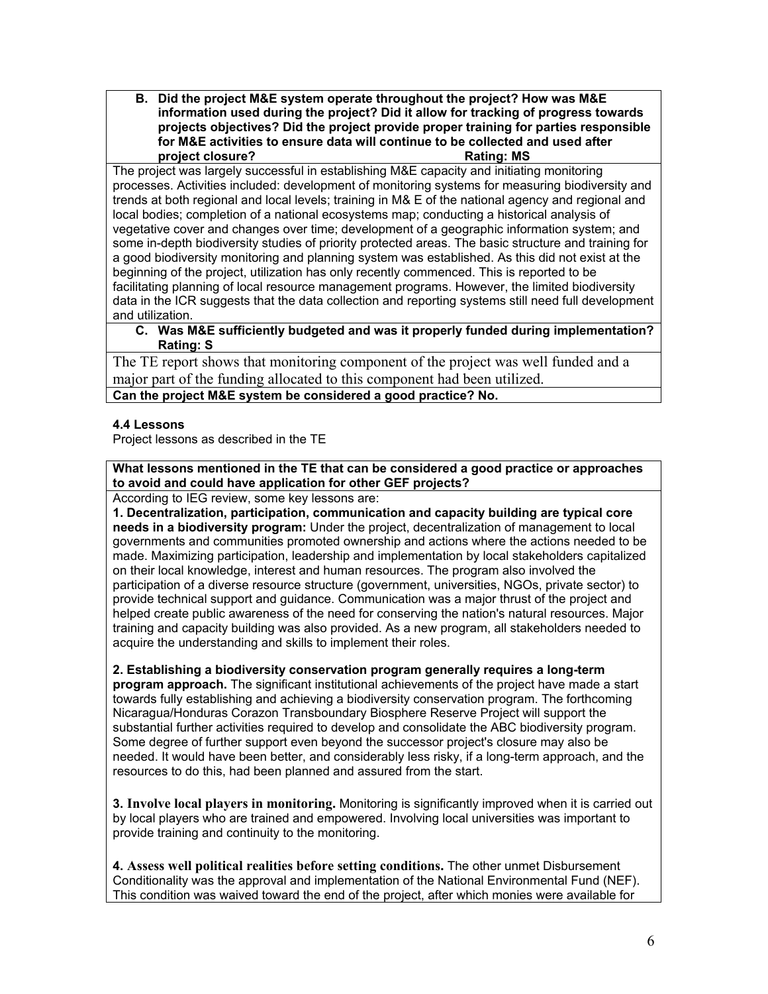**B. Did the project M&E system operate throughout the project? How was M&E information used during the project? Did it allow for tracking of progress towards projects objectives? Did the project provide proper training for parties responsible for M&E activities to ensure data will continue to be collected and used after project closure?** Rating: MS

The project was largely successful in establishing M&E capacity and initiating monitoring processes. Activities included: development of monitoring systems for measuring biodiversity and trends at both regional and local levels; training in M& E of the national agency and regional and local bodies; completion of a national ecosystems map; conducting a historical analysis of vegetative cover and changes over time; development of a geographic information system; and some in-depth biodiversity studies of priority protected areas. The basic structure and training for a good biodiversity monitoring and planning system was established. As this did not exist at the beginning of the project, utilization has only recently commenced. This is reported to be facilitating planning of local resource management programs. However, the limited biodiversity data in the ICR suggests that the data collection and reporting systems still need full development and utilization.

## **C. Was M&E sufficiently budgeted and was it properly funded during implementation? Rating: S**

The TE report shows that monitoring component of the project was well funded and a major part of the funding allocated to this component had been utilized.

**Can the project M&E system be considered a good practice? No.**

# **4.4 Lessons**

Project lessons as described in the TE

**What lessons mentioned in the TE that can be considered a good practice or approaches to avoid and could have application for other GEF projects?**

According to IEG review, some key lessons are:

**1. Decentralization, participation, communication and capacity building are typical core needs in a biodiversity program:** Under the project, decentralization of management to local governments and communities promoted ownership and actions where the actions needed to be made. Maximizing participation, leadership and implementation by local stakeholders capitalized on their local knowledge, interest and human resources. The program also involved the participation of a diverse resource structure (government, universities, NGOs, private sector) to provide technical support and guidance. Communication was a major thrust of the project and helped create public awareness of the need for conserving the nation's natural resources. Major training and capacity building was also provided. As a new program, all stakeholders needed to acquire the understanding and skills to implement their roles.

**2. Establishing a biodiversity conservation program generally requires a long-term program approach.** The significant institutional achievements of the project have made a start towards fully establishing and achieving a biodiversity conservation program. The forthcoming Nicaragua/Honduras Corazon Transboundary Biosphere Reserve Project will support the substantial further activities required to develop and consolidate the ABC biodiversity program. Some degree of further support even beyond the successor project's closure may also be needed. It would have been better, and considerably less risky, if a long-term approach, and the resources to do this, had been planned and assured from the start.

**3. Involve local players in monitoring.** Monitoring is significantly improved when it is carried out by local players who are trained and empowered. Involving local universities was important to provide training and continuity to the monitoring.

**4. Assess well political realities before setting conditions.** The other unmet Disbursement Conditionality was the approval and implementation of the National Environmental Fund (NEF). This condition was waived toward the end of the project, after which monies were available for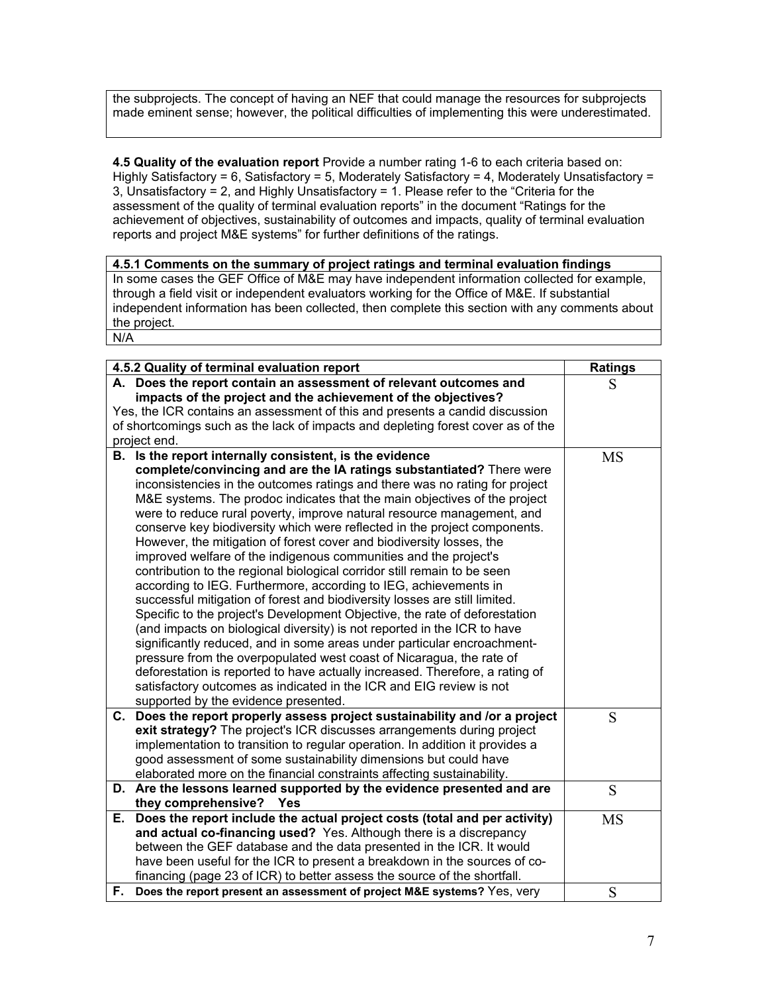the subprojects. The concept of having an NEF that could manage the resources for subprojects made eminent sense; however, the political difficulties of implementing this were underestimated.

**4.5 Quality of the evaluation report** Provide a number rating 1-6 to each criteria based on: Highly Satisfactory = 6, Satisfactory = 5, Moderately Satisfactory = 4, Moderately Unsatisfactory = 3, Unsatisfactory = 2, and Highly Unsatisfactory = 1. Please refer to the "Criteria for the assessment of the quality of terminal evaluation reports" in the document "Ratings for the achievement of objectives, sustainability of outcomes and impacts, quality of terminal evaluation reports and project M&E systems" for further definitions of the ratings.

## **4.5.1 Comments on the summary of project ratings and terminal evaluation findings** In some cases the GEF Office of M&E may have independent information collected for example, through a field visit or independent evaluators working for the Office of M&E. If substantial independent information has been collected, then complete this section with any comments about the project. N/A

| 4.5.2 Quality of terminal evaluation report                       | <b>Ratings</b>                                                                                                                                 |           |
|-------------------------------------------------------------------|------------------------------------------------------------------------------------------------------------------------------------------------|-----------|
| A. Does the report contain an assessment of relevant outcomes and | S                                                                                                                                              |           |
|                                                                   |                                                                                                                                                |           |
|                                                                   | Yes, the ICR contains an assessment of this and presents a candid discussion                                                                   |           |
|                                                                   | of shortcomings such as the lack of impacts and depleting forest cover as of the                                                               |           |
|                                                                   | project end.                                                                                                                                   |           |
|                                                                   | B. Is the report internally consistent, is the evidence                                                                                        | <b>MS</b> |
|                                                                   | complete/convincing and are the IA ratings substantiated? There were                                                                           |           |
|                                                                   | inconsistencies in the outcomes ratings and there was no rating for project                                                                    |           |
|                                                                   | M&E systems. The prodoc indicates that the main objectives of the project                                                                      |           |
|                                                                   | were to reduce rural poverty, improve natural resource management, and                                                                         |           |
|                                                                   | conserve key biodiversity which were reflected in the project components.                                                                      |           |
|                                                                   | However, the mitigation of forest cover and biodiversity losses, the                                                                           |           |
|                                                                   | improved welfare of the indigenous communities and the project's                                                                               |           |
|                                                                   | contribution to the regional biological corridor still remain to be seen                                                                       |           |
|                                                                   | according to IEG. Furthermore, according to IEG, achievements in<br>successful mitigation of forest and biodiversity losses are still limited. |           |
|                                                                   | Specific to the project's Development Objective, the rate of deforestation                                                                     |           |
|                                                                   | (and impacts on biological diversity) is not reported in the ICR to have                                                                       |           |
|                                                                   | significantly reduced, and in some areas under particular encroachment-                                                                        |           |
|                                                                   | pressure from the overpopulated west coast of Nicaragua, the rate of                                                                           |           |
|                                                                   | deforestation is reported to have actually increased. Therefore, a rating of                                                                   |           |
|                                                                   | satisfactory outcomes as indicated in the ICR and EIG review is not                                                                            |           |
|                                                                   | supported by the evidence presented.                                                                                                           |           |
|                                                                   | C. Does the report properly assess project sustainability and /or a project                                                                    | S         |
|                                                                   | exit strategy? The project's ICR discusses arrangements during project                                                                         |           |
|                                                                   | implementation to transition to regular operation. In addition it provides a                                                                   |           |
|                                                                   | good assessment of some sustainability dimensions but could have                                                                               |           |
|                                                                   | elaborated more on the financial constraints affecting sustainability.                                                                         |           |
|                                                                   | D. Are the lessons learned supported by the evidence presented and are                                                                         | S         |
|                                                                   | they comprehensive?<br>Yes                                                                                                                     |           |
|                                                                   | E. Does the report include the actual project costs (total and per activity)                                                                   | <b>MS</b> |
|                                                                   | and actual co-financing used? Yes. Although there is a discrepancy                                                                             |           |
|                                                                   | between the GEF database and the data presented in the ICR. It would                                                                           |           |
|                                                                   | have been useful for the ICR to present a breakdown in the sources of co-                                                                      |           |
|                                                                   | financing (page 23 of ICR) to better assess the source of the shortfall.                                                                       |           |
|                                                                   | F. Does the report present an assessment of project M&E systems? Yes, very                                                                     | S         |